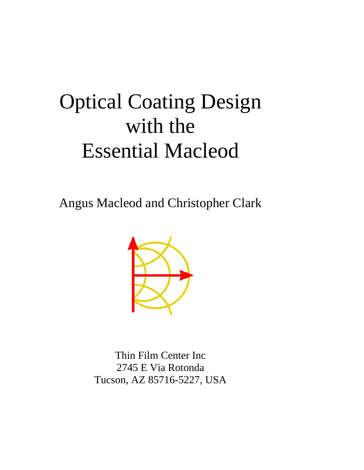# Optical Coating Design with the Essential Macleod

Angus Macleod and Christopher Clark



Thin Film Center Inc 2745 E Via Rotonda Tucson, AZ 85716-5227, USA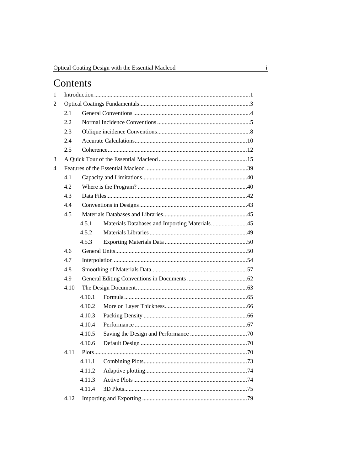# Contents

| 1              |      |        |                                               |  |
|----------------|------|--------|-----------------------------------------------|--|
| $\overline{c}$ |      |        |                                               |  |
|                | 2.1  |        |                                               |  |
|                | 2.2  |        |                                               |  |
|                | 2.3  |        |                                               |  |
|                | 2.4  |        |                                               |  |
|                | 2.5  |        |                                               |  |
| 3              |      |        |                                               |  |
| 4              |      |        |                                               |  |
|                | 4.1  |        |                                               |  |
|                | 4.2  |        |                                               |  |
|                | 4.3  |        |                                               |  |
|                | 4.4  |        |                                               |  |
|                | 4.5  |        |                                               |  |
|                |      | 4.5.1  | Materials Databases and Importing Materials45 |  |
|                |      | 4.5.2  |                                               |  |
|                |      | 4.5.3  |                                               |  |
|                | 4.6  |        |                                               |  |
|                | 4.7  |        |                                               |  |
|                | 4.8  |        |                                               |  |
|                | 4.9  |        |                                               |  |
|                | 4.10 |        |                                               |  |
|                |      | 4.10.1 |                                               |  |
|                |      | 4.10.2 |                                               |  |
|                |      | 4.10.3 |                                               |  |
|                |      | 4.10.4 |                                               |  |
|                |      | 4.10.5 |                                               |  |
|                |      | 4.10.6 |                                               |  |
|                | 4.11 |        |                                               |  |
|                |      | 4.11.1 |                                               |  |
|                |      | 4.11.2 |                                               |  |
|                |      | 4.11.3 |                                               |  |
|                |      | 4.11.4 |                                               |  |
|                | 4.12 |        |                                               |  |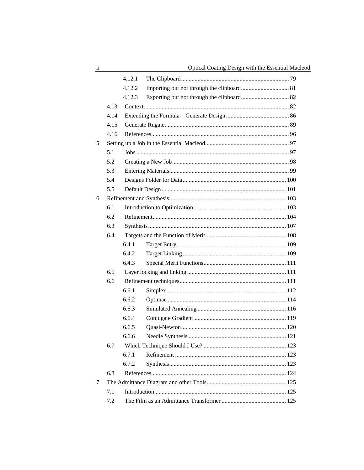|   |      | 4.12.1 |  |
|---|------|--------|--|
|   |      | 4.12.2 |  |
|   |      | 4.12.3 |  |
|   | 4.13 |        |  |
|   | 4.14 |        |  |
|   | 4.15 |        |  |
|   | 4.16 |        |  |
| 5 |      |        |  |
|   | 5.1  |        |  |
|   | 5.2  |        |  |
|   | 5.3  |        |  |
|   | 5.4  |        |  |
|   | 5.5  |        |  |
| 6 |      |        |  |
|   | 6.1  |        |  |
|   | 6.2  |        |  |
|   | 6.3  |        |  |
|   | 6.4  |        |  |
|   |      | 6.4.1  |  |
|   |      | 6.4.2  |  |
|   |      | 6.4.3  |  |
|   | 6.5  |        |  |
|   | 6.6  |        |  |
|   |      | 6.6.1  |  |
|   |      | 6.6.2  |  |
|   |      | 6.6.3  |  |
|   |      | 6.6.4  |  |
|   |      | 6.6.5  |  |
|   |      | 6.6.6  |  |
|   | 6.7  |        |  |
|   |      | 6.7.1  |  |
|   |      | 6.7.2  |  |
|   | 6.8  |        |  |
| 7 |      |        |  |
|   | 7.1  |        |  |
|   | 7.2  |        |  |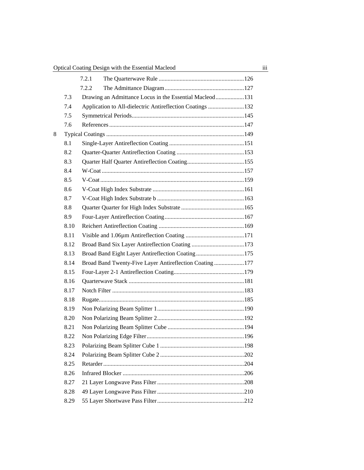|   |      | 7.2.1 |                                                           |  |
|---|------|-------|-----------------------------------------------------------|--|
|   |      | 7.2.2 |                                                           |  |
|   | 7.3  |       | Drawing an Admittance Locus in the Essential Macleod131   |  |
|   | 7.4  |       | Application to All-dielectric Antireflection Coatings 132 |  |
|   | 7.5  |       |                                                           |  |
|   | 7.6  |       |                                                           |  |
| 8 |      |       |                                                           |  |
|   | 8.1  |       |                                                           |  |
|   | 8.2  |       |                                                           |  |
|   | 8.3  |       |                                                           |  |
|   | 8.4  |       |                                                           |  |
|   | 8.5  |       |                                                           |  |
|   | 8.6  |       |                                                           |  |
|   | 8.7  |       |                                                           |  |
|   | 8.8  |       |                                                           |  |
|   | 8.9  |       |                                                           |  |
|   | 8.10 |       |                                                           |  |
|   | 8.11 |       |                                                           |  |
|   | 8.12 |       |                                                           |  |
|   | 8.13 |       | Broad Band Eight Layer Antireflection Coating175          |  |
|   | 8.14 |       | Broad Band Twenty-Five Layer Antireflection Coating177    |  |
|   | 8.15 |       |                                                           |  |
|   | 8.16 |       |                                                           |  |
|   | 8.17 |       |                                                           |  |
|   | 8.18 |       |                                                           |  |
|   | 8.19 |       |                                                           |  |
|   | 8.20 |       |                                                           |  |
|   | 8.21 |       |                                                           |  |
|   | 8.22 |       |                                                           |  |
|   | 8.23 |       |                                                           |  |
|   | 8.24 |       |                                                           |  |
|   | 8.25 |       |                                                           |  |
|   | 8.26 |       |                                                           |  |
|   | 8.27 |       |                                                           |  |
|   | 8.28 |       |                                                           |  |
|   | 8.29 |       |                                                           |  |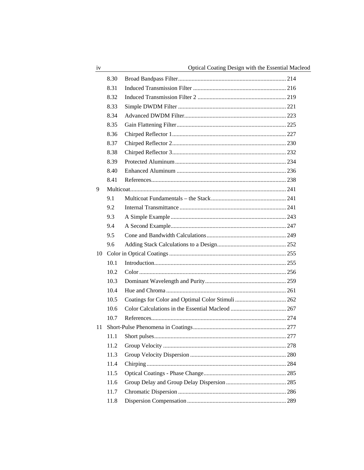|    | 8.30 |  |
|----|------|--|
|    | 8.31 |  |
|    | 8.32 |  |
|    | 8.33 |  |
|    | 8.34 |  |
|    | 8.35 |  |
|    | 8.36 |  |
|    | 8.37 |  |
|    | 8.38 |  |
|    | 8.39 |  |
|    | 8.40 |  |
|    | 8.41 |  |
| 9  |      |  |
|    | 9.1  |  |
|    | 9.2  |  |
|    | 9.3  |  |
|    | 9.4  |  |
|    | 9.5  |  |
|    | 9.6  |  |
| 10 |      |  |
|    | 10.1 |  |
|    | 10.2 |  |
|    | 10.3 |  |
|    | 10.4 |  |
|    | 10.5 |  |
|    | 10.6 |  |
|    | 10.7 |  |
| 11 |      |  |
|    | 11.1 |  |
|    | 11.2 |  |
|    | 11.3 |  |
|    | 11.4 |  |
|    | 11.5 |  |
|    | 11.6 |  |
|    | 11.7 |  |
|    | 11.8 |  |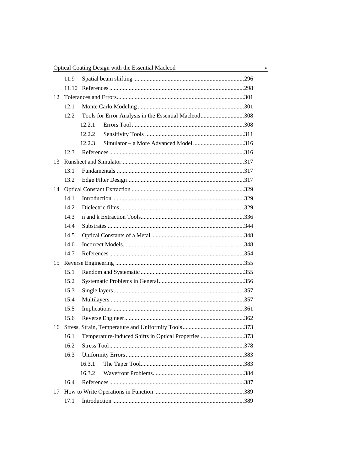|    | 11.9  |                                                      |  |  |
|----|-------|------------------------------------------------------|--|--|
|    | 11.10 |                                                      |  |  |
| 12 |       |                                                      |  |  |
|    | 12.1  |                                                      |  |  |
|    | 12.2  | Tools for Error Analysis in the Essential Macleod308 |  |  |
|    |       | 12.2.1                                               |  |  |
|    |       | 12.2.2                                               |  |  |
|    |       | 12.2.3                                               |  |  |
|    | 12.3  |                                                      |  |  |
| 13 |       |                                                      |  |  |
|    | 13.1  |                                                      |  |  |
|    | 13.2  |                                                      |  |  |
| 14 |       |                                                      |  |  |
|    | 14.1  |                                                      |  |  |
|    | 14.2  |                                                      |  |  |
|    | 14.3  |                                                      |  |  |
|    | 14.4  |                                                      |  |  |
|    | 14.5  |                                                      |  |  |
|    | 14.6  |                                                      |  |  |
|    | 14.7  |                                                      |  |  |
| 15 |       |                                                      |  |  |
|    | 15.1  |                                                      |  |  |
|    | 15.2  |                                                      |  |  |
|    | 15.3  |                                                      |  |  |
|    | 15.4  |                                                      |  |  |
|    | 15.5  |                                                      |  |  |
|    | 15.6  |                                                      |  |  |
| 16 |       |                                                      |  |  |
|    | 16.1  | Temperature-Induced Shifts in Optical Properties 373 |  |  |
|    | 16.2  |                                                      |  |  |
|    | 16.3  |                                                      |  |  |
|    |       | 16.3.1                                               |  |  |
|    |       | 16.3.2                                               |  |  |
|    | 16.4  |                                                      |  |  |
| 17 |       |                                                      |  |  |
|    | 17.1  |                                                      |  |  |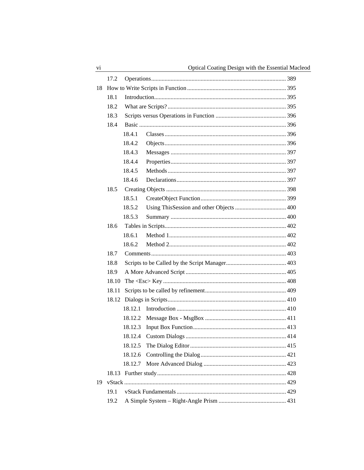|    | 17.2  |         |  |  |
|----|-------|---------|--|--|
| 18 |       |         |  |  |
|    | 18.1  |         |  |  |
|    | 18.2  |         |  |  |
|    | 18.3  |         |  |  |
|    | 18.4  |         |  |  |
|    |       | 18.4.1  |  |  |
|    |       | 18.4.2  |  |  |
|    |       | 18.4.3  |  |  |
|    |       | 18.4.4  |  |  |
|    |       | 18.4.5  |  |  |
|    |       | 18.4.6  |  |  |
|    | 18.5  |         |  |  |
|    |       | 18.5.1  |  |  |
|    |       | 18.5.2  |  |  |
|    |       | 18.5.3  |  |  |
|    | 18.6  |         |  |  |
|    |       | 18.6.1  |  |  |
|    |       | 18.6.2  |  |  |
|    | 18.7  |         |  |  |
|    | 18.8  |         |  |  |
|    | 18.9  |         |  |  |
|    | 18.10 |         |  |  |
|    | 18.11 |         |  |  |
|    | 18.12 |         |  |  |
|    |       | 18.12.1 |  |  |
|    |       | 18.12.2 |  |  |
|    |       | 18.12.3 |  |  |
|    |       | 18.12.4 |  |  |
|    |       | 18.12.5 |  |  |
|    |       | 18.12.6 |  |  |
|    |       | 18.12.7 |  |  |
|    | 18.13 |         |  |  |
| 19 |       |         |  |  |
|    | 19.1  |         |  |  |
|    | 19.2  |         |  |  |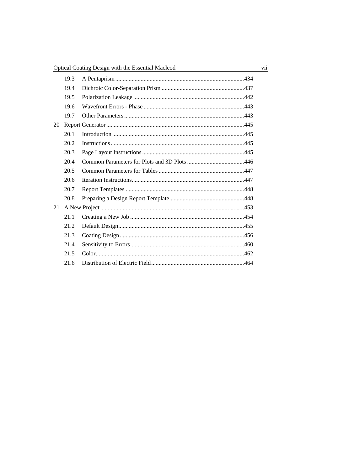|    | 19.3 |  |
|----|------|--|
|    | 19.4 |  |
|    | 19.5 |  |
|    | 19.6 |  |
|    | 19.7 |  |
| 20 |      |  |
|    | 20.1 |  |
|    | 20.2 |  |
|    | 20.3 |  |
|    | 20.4 |  |
|    | 20.5 |  |
|    | 20.6 |  |
|    | 20.7 |  |
|    | 20.8 |  |
| 21 |      |  |
|    | 21.1 |  |
|    | 21.2 |  |
|    | 21.3 |  |
|    | 21.4 |  |
|    | 21.5 |  |
|    | 21.6 |  |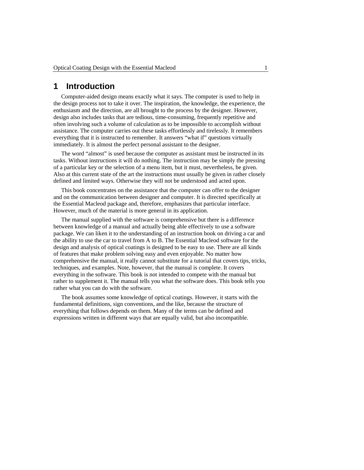### <span id="page-8-0"></span>**1 Introduction**

Computer-aided design means exactly what it says. The computer is used to help in the design process not to take it over. The inspiration, the knowledge, the experience, the enthusiasm and the direction, are all brought to the process by the designer. However, design also includes tasks that are tedious, time-consuming, frequently repetitive and often involving such a volume of calculation as to be impossible to accomplish without assistance. The computer carries out these tasks effortlessly and tirelessly. It remembers everything that it is instructed to remember. It answers "what if" questions virtually immediately. It is almost the perfect personal assistant to the designer.

The word "almost" is used because the computer as assistant must be instructed in its tasks. Without instructions it will do nothing. The instruction may be simply the pressing of a particular key or the selection of a menu item, but it must, nevertheless, be given. Also at this current state of the art the instructions must usually be given in rather closely defined and limited ways. Otherwise they will not be understood and acted upon.

This book concentrates on the assistance that the computer can offer to the designer and on the communication between designer and computer. It is directed specifically at the Essential Macleod package and, therefore, emphasizes that particular interface. However, much of the material is more general in its application.

The manual supplied with the software is comprehensive but there is a difference between knowledge of a manual and actually being able effectively to use a software package. We can liken it to the understanding of an instruction book on driving a car and the ability to use the car to travel from A to B. The Essential Macleod software for the design and analysis of optical coatings is designed to be easy to use. There are all kinds of features that make problem solving easy and even enjoyable. No matter how comprehensive the manual, it really cannot substitute for a tutorial that covers tips, tricks, techniques, and examples. Note, however, that the manual is complete. It covers everything in the software. This book is not intended to compete with the manual but rather to supplement it. The manual tells you what the software does. This book tells you rather what you can do with the software.

The book assumes some knowledge of optical coatings. However, it starts with the fundamental definitions, sign conventions, and the like, because the structure of everything that follows depends on them. Many of the terms can be defined and expressions written in different ways that are equally valid, but also incompatible.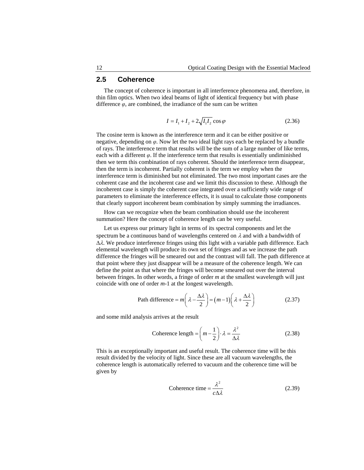#### <span id="page-9-0"></span>**2.5 Coherence**

The concept of coherence is important in all interference phenomena and, therefore, in thin film optics. When two ideal beams of light of identical frequency but with phase difference  $\varphi$ , are combined, the irradiance of the sum can be written

$$
I = I_1 + I_2 + 2\sqrt{I_1 I_2} \cos \varphi
$$
 (2.36)

The cosine term is known as the interference term and it can be either positive or negative, depending on *φ*. Now let the two ideal light rays each be replaced by a bundle of rays. The interference term that results will be the sum of a large number of like terms, each with a different  $\varphi$ . If the interference term that results is essentially undiminished then we term this combination of rays coherent. Should the interference term disappear, then the term is incoherent. Partially coherent is the term we employ when the interference term is diminished but not eliminated. The two most important cases are the coherent case and the incoherent case and we limit this discussion to these. Although the incoherent case is simply the coherent case integrated over a sufficiently wide range of parameters to eliminate the interference effects, it is usual to calculate those components that clearly support incoherent beam combination by simply summing the irradiances.

How can we recognize when the beam combination should use the incoherent summation? Here the concept of coherence length can be very useful.

Let us express our primary light in terms of its spectral components and let the spectrum be a continuous band of wavelengths centered on  $\lambda$  and with a bandwidth of  $\Delta\lambda$ . We produce interference fringes using this light with a variable path difference. Each elemental wavelength will produce its own set of fringes and as we increase the path difference the fringes will be smeared out and the contrast will fall. The path difference at that point where they just disappear will be a measure of the coherence length. We can define the point as that where the fringes will become smeared out over the interval between fringes. In other words, a fringe of order *m* at the smallest wavelength will just coincide with one of order *m*-1 at the longest wavelength.

Path difference = 
$$
m\left(\lambda - \frac{\Delta\lambda}{2}\right) = (m-1)\left(\lambda + \frac{\Delta\lambda}{2}\right)
$$
 (2.37)

and some mild analysis arrives at the result

Coherence length = 
$$
\left(m - \frac{1}{2}\right) \cdot \lambda = \frac{\lambda^2}{\Delta \lambda}
$$
 (2.38)

This is an exceptionally important and useful result. The coherence time will be this result divided by the velocity of light. Since these are all vacuum wavelengths, the coherence length is automatically referred to vacuum and the coherence time will be given by

$$
Coherence time = \frac{\lambda^2}{c\Delta\lambda}
$$
 (2.39)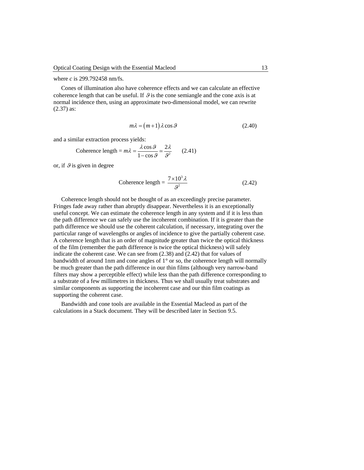where *c* is 299.792458 nm/fs.

Cones of illumination also have coherence effects and we can calculate an effective coherence length that can be useful. If  $\mathcal{G}$  is the cone semiangle and the cone axis is at normal incidence then, using an approximate two-dimensional model, we can rewrite (2.37) as:

$$
m\lambda = (m+1)\lambda\cos\theta\tag{2.40}
$$

and a similar extraction process yields:

$$
\text{Coherence length} = m\lambda = \frac{\lambda \cos \theta}{1 - \cos \theta} \approx \frac{2\lambda}{\theta^2} \qquad (2.41)
$$

or, if  $\theta$  is given in degree

$$
\text{Coherence length} = \frac{7 \times 10^3 \lambda}{g^2} \tag{2.42}
$$

Coherence length should not be thought of as an exceedingly precise parameter. Fringes fade away rather than abruptly disappear. Nevertheless it is an exceptionally useful concept. We can estimate the coherence length in any system and if it is less than the path difference we can safely use the incoherent combination. If it is greater than the path difference we should use the coherent calculation, if necessary, integrating over the particular range of wavelengths or angles of incidence to give the partially coherent case. A coherence length that is an order of magnitude greater than twice the optical thickness of the film (remember the path difference is twice the optical thickness) will safely indicate the coherent case. We can see from (2.38) and (2.42) that for values of bandwidth of around 1nm and cone angles of  $1^{\circ}$  or so, the coherence length will normally be much greater than the path difference in our thin films (although very narrow-band filters may show a perceptible effect) while less than the path difference corresponding to a substrate of a few millimetres in thickness. Thus we shall usually treat substrates and similar components as supporting the incoherent case and our thin film coatings as supporting the coherent case.

Bandwidth and cone tools are available in the Essential Macleod as part of the calculations in a Stack document. They will be described later in Sectio[n 9.5.](#page--1-77)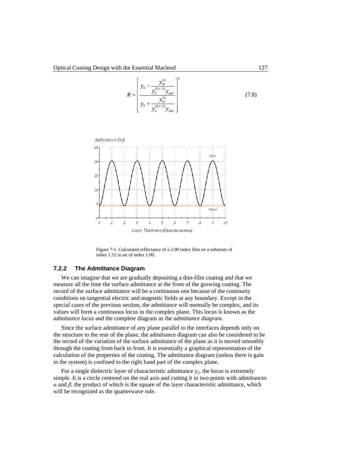

Figure 7-1. Calculated reflectance of a 2.00 index film on a substrate of index 1.52 in air of index 1.00.

#### <span id="page-11-1"></span><span id="page-11-0"></span>**7.2.2 The Admittance Diagram**

We can imagine that we are gradually depositing a thin-film coating and that we measure all the time the surface admittance at the front of the growing coating. The record of the surface admittance will be a continuous one because of the continuity conditions on tangential electric and magnetic fields at any boundary. Except in the special cases of the previous section, the admittance will normally be complex, and its values will form a continuous locus in the complex plane. This locus is known as the *admittance locus* and the complete diagram as the *admittance diagram*.

Since the surface admittance of any plane parallel to the interfaces depends only on the structure to the rear of the plane, the admittance diagram can also be considered to be the record of the variation of the surface admittance of the plane as it is moved smoothly through the coating from back to front. It is essentially a graphical representation of the calculation of the properties of the coating. The admittance diagram (unless there is gain in the system) is confined to the right hand part of the complex plane.

For a single dielectric layer of characteristic admittance  $y_f$ , the locus is extremely simple. It is a circle centered on the real axis and cutting it in two points with admittances  $\alpha$  and  $\beta$ , the product of which is the square of the layer characteristic admittance, which will be recognized as the quarterwave rule.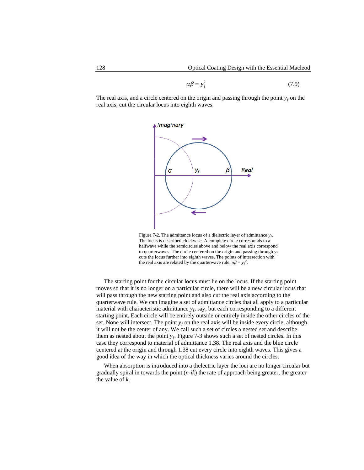$$
\alpha \beta = y_f^2 \tag{7.9}
$$

The real axis, and a circle centered on the origin and passing through the point  $y_f$  on the real axis, cut the circular locus into eighth waves.



Figure 7-2. The admittance locus of a dielectric layer of admittance  $y_f$ . The locus is described clockwise. A complete circle corresponds to a halfwave while the semicircles above and below the real axis correspond to quarterwaves. The circle centered on the origin and passing through  $y_f$ cuts the locus further into eighth waves. The points of intersection with the real axis are related by the quarterwave rule,  $\alpha\beta = y_f^2$ .

The starting point for the circular locus must lie on the locus. If the starting point moves so that it is no longer on a particular circle, there will be a new circular locus that will pass through the new starting point and also cut the real axis according to the quarterwave rule. We can imagine a set of admittance circles that all apply to a particular material with characteristic admittance  $y_f$ , say, but each corresponding to a different starting point. Each circle will be entirely outside or entirely inside the other circles of the set. None will intersect. The point  $y_f$  on the real axis will be inside every circle, although it will not be the center of any. We call such a set of circles a nested set and describe them as nested about the point *yf*. [Figure 7-3](#page-13-0) shows such a set of nested circles. In this case they correspond to material of admittance 1.38. The real axis and the blue circle centered at the origin and through 1.38 cut every circle into eighth waves. This gives a good idea of the way in which the optical thickness varies around the circles.

When absorption is introduced into a dielectric layer the loci are no longer circular but gradually spiral in towards the point (*n*-*ik*) the rate of approach being greater, the greater the value of *k*.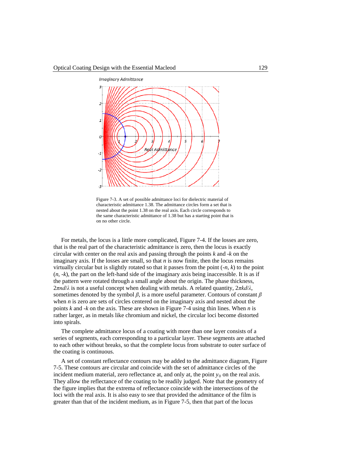

Figure 7-3. A set of possible admittance loci for dielectric material of characteristic admittance 1.38. The admittance circles form a set that is nested about the point 1.38 on the real axis. Each circle corresponds to the same characteristic admittance of 1.38 but has a starting point that is on no other circle.

<span id="page-13-0"></span>For metals, the locus is a little more complicated[, Figure 7-4.](#page-14-0) If the losses are zero, that is the real part of the characteristic admittance is zero, then the locus is exactly circular with center on the real axis and passing through the points *k* and -*k* on the imaginary axis. If the losses are small, so that *n* is now finite, then the locus remains virtually circular but is slightly rotated so that it passes from the point  $(-n, k)$  to the point  $(n, -k)$ , the part on the left-hand side of the imaginary axis being inaccessible. It is as if the pattern were rotated through a small angle about the origin. The phase thickness, 2*πnd*/*λ* is not a useful concept when dealing with metals. A related quantity, 2*πkd*/*λ*, sometimes denoted by the symbol  $\beta$ , is a more useful parameter. Contours of constant  $\beta$ when *n* is zero are sets of circles centered on the imaginary axis and nested about the points *k* and -*k* on the axis. These are shown in [Figure 7-4](#page-14-0) using thin lines. When *n* is rather larger, as in metals like chromium and nickel, the circular loci become distorted into spirals.

The complete admittance locus of a coating with more than one layer consists of a series of segments, each corresponding to a particular layer. These segments are attached to each other without breaks, so that the complete locus from substrate to outer surface of the coating is continuous.

A set of constant reflectance contours may be added to the admittance diagram, [Figure](#page-14-1)  [7-5.](#page-14-1) These contours are circular and coincide with the set of admittance circles of the incident medium material, zero reflectance at, and only at, the point  $y_0$  on the real axis. They allow the reflectance of the coating to be readily judged. Note that the geometry of the figure implies that the extrema of reflectance coincide with the intersections of the loci with the real axis. It is also easy to see that provided the admittance of the film is greater than that of the incident medium, as in [Figure 7-5,](#page-14-1) then that part of the locus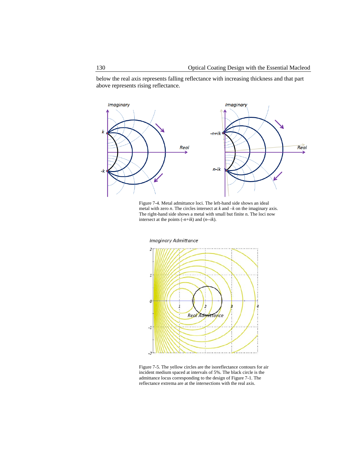below the real axis represents falling reflectance with increasing thickness and that part above represents rising reflectance.



<span id="page-14-0"></span>Figure 7-4. Metal admittance loci. The left-hand side shows an ideal metal with zero *n*. The circles intersect at *k* and *–k* on the imaginary axis. The right-hand side shows a metal with small but finite n. The loci now intersect at the points (-*n*+*ik*) and (*n*--*ik*).



<span id="page-14-1"></span>Figure 7-5. The yellow circles are the isoreflectance contours for air incident medium spaced at intervals of 5%. The black circle is the admittance locus corresponding to the design o[f Figure 7-1.](#page-11-1) The reflectance extrema are at the intersections with the real axis.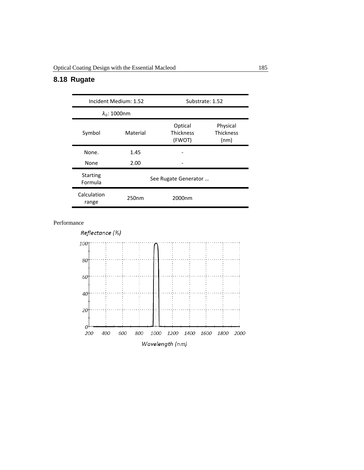# <span id="page-15-0"></span>**8.18 Rugate**

|                                           | Incident Medium: 1.52 | Substrate: 1.52                       |                                      |
|-------------------------------------------|-----------------------|---------------------------------------|--------------------------------------|
|                                           | $\lambda_0$ : 1000nm  |                                       |                                      |
| Symbol                                    | Material              | Optical<br><b>Thickness</b><br>(FWOT) | Physical<br><b>Thickness</b><br>(nm) |
| None.                                     | 1.45                  |                                       |                                      |
| None                                      | 2.00                  |                                       |                                      |
| <b>Starting</b><br>Formula                |                       | See Rugate Generator                  |                                      |
| Calculation<br>250 <sub>nm</sub><br>range |                       | 2000nm                                |                                      |

Performance

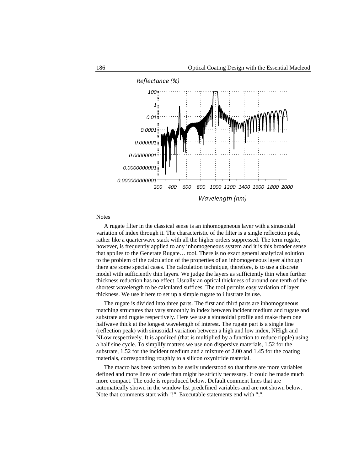

Notes

A rugate filter in the classical sense is an inhomogeneous layer with a sinusoidal variation of index through it. The characteristic of the filter is a single reflection peak, rather like a quarterwave stack with all the higher orders suppressed. The term rugate, however, is frequently applied to any inhomogeneous system and it is this broader sense that applies to the Generate Rugate… tool. There is no exact general analytical solution to the problem of the calculation of the properties of an inhomogeneous layer although there are some special cases. The calculation technique, therefore, is to use a discrete model with sufficiently thin layers. We judge the layers as sufficiently thin when further thickness reduction has no effect. Usually an optical thickness of around one tenth of the shortest wavelength to be calculated suffices. The tool permits easy variation of layer thickness. We use it here to set up a simple rugate to illustrate its use.

The rugate is divided into three parts. The first and third parts are inhomogeneous matching structures that vary smoothly in index between incident medium and rugate and substrate and rugate respectively. Here we use a sinusoidal profile and make them one halfwave thick at the longest wavelength of interest. The rugate part is a single line (reflection peak) with sinusoidal variation between a high and low index, NHigh and NLow respectively. It is apodized (that is multiplied by a function to reduce ripple) using a half sine cycle. To simplify matters we use non dispersive materials, 1.52 for the substrate, 1.52 for the incident medium and a mixture of 2.00 and 1.45 for the coating materials, corresponding roughly to a silicon oxynitride material.

The macro has been written to be easily understood so that there are more variables defined and more lines of code than might be strictly necessary. It could be made much more compact. The code is reproduced below. Default comment lines that are automatically shown in the window list predefined variables and are not shown below. Note that comments start with "!". Executable statements end with ";".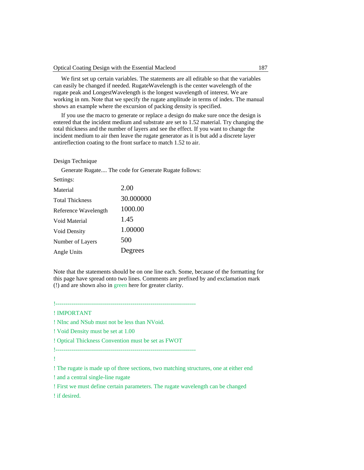We first set up certain variables. The statements are all editable so that the variables can easily be changed if needed. RugateWavelength is the center wavelength of the rugate peak and LongestWavelength is the longest wavelength of interest. We are working in nm. Note that we specify the rugate amplitude in terms of index. The manual shows an example where the excursion of packing density is specified.

If you use the macro to generate or replace a design do make sure once the design is entered that the incident medium and substrate are set to 1.52 material. Try changing the total thickness and the number of layers and see the effect. If you want to change the incident medium to air then leave the rugate generator as it is but add a discrete layer antireflection coating to the front surface to match 1.52 to air.

#### Design Technique

Generate Rugate.... The code for Generate Rugate follows:

| Material               | 2.00      |
|------------------------|-----------|
| <b>Total Thickness</b> | 30.000000 |
| Reference Wavelength   | 1000.00   |
| Void Material          | 1.45      |
| Void Density           | 1.00000   |
| Number of Layers       | 500       |
| Angle Units            | Degrees   |

Note that the statements should be on one line each. Some, because of the formatting for this page have spread onto two lines. Comments are prefixed by and exclamation mark (!) and are shown also in green here for greater clarity.

!-----------------------------------------------------------------------

#### ! IMPORTANT

! NInc and NSub must not be less than NVoid.

! Void Density must be set at 1.00

! Optical Thickness Convention must be set as FWOT

!-----------------------------------------------------------------------

!

! The rugate is made up of three sections, two matching structures, one at either end

! and a central single-line rugate

! First we must define certain parameters. The rugate wavelength can be changed

! if desired.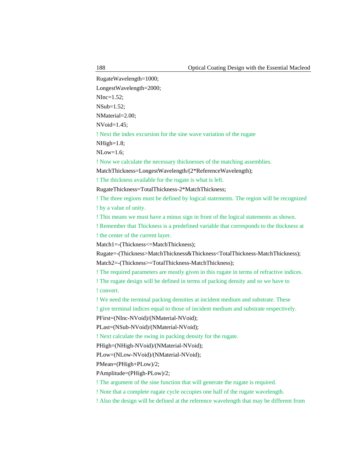RugateWavelength=1000;

LongestWavelength=2000;

NInc=1.52;

NSub=1.52;

NMaterial=2.00;

 $N\text{Void}=1.45$ :

! Next the index excursion for the sine wave variation of the rugate

NHigh=1.8;

NLow=1.6;

! Now we calculate the necessary thicknesses of the matching assemblies.

MatchThickness=LongestWavelength/(2\*ReferenceWavelength);

! The thickness available for the rugate is what is left.

RugateThickness=TotalThickness-2\*MatchThickness;

! The three regions must be defined by logical statements. The region will be recognized ! by a value of unity.

! This means we must have a minus sign in front of the logical statements as shown.

! Remember that Thickness is a predefined variable that corresponds to the thickness at ! the center of the current layer.

Match1=-(Thickness<=MatchThickness);

Rugate=-(Thickness>MatchThickness&Thickness<TotalThickness-MatchThickness);

Match2=-(Thickness>=TotalThickness-MatchThickness);

! The required parameters are mostly given in this rugate in terms of refractive indices.

! The rugate design will be defined in terms of packing density and so we have to ! convert.

! We need the terminal packing densities at incident medium and substrate. These

! give terminal indices equal to those of incident medium and substrate respectively.

PFirst=(NInc-NVoid)/(NMaterial-NVoid);

PLast=(NSub-NVoid)/(NMaterial-NVoid);

! Next calculate the swing in packing density for the rugate.

PHigh=(NHigh-NVoid)/(NMaterial-NVoid);

PLow=(NLow-NVoid)/(NMaterial-NVoid);

PMean=(PHigh+PLow)/2;

PAmplitude=(PHigh-PLow)/2;

! The argument of the sine function that will generate the rugate is required.

! Note that a complete rugate cycle occupies one half of the rugate wavelength.

! Also the design will be defined at the reference wavelength that may be different from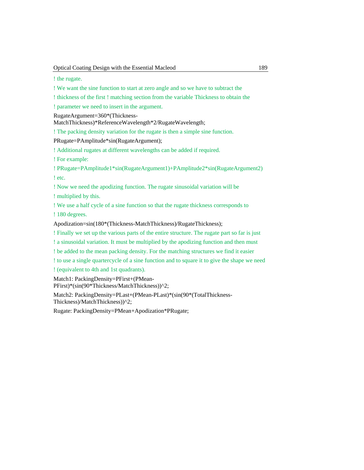! the rugate.

! We want the sine function to start at zero angle and so we have to subtract the

! thickness of the first ! matching section from the variable Thickness to obtain the

! parameter we need to insert in the argument.

RugateArgument=360\*(Thickness-

MatchThickness)\*ReferenceWavelength\*2/RugateWavelength;

! The packing density variation for the rugate is then a simple sine function.

PRugate=PAmplitude\*sin(RugateArgument);

! Additional rugates at different wavelengths can be added if required.

! For example:

! PRugate=PAmplitude1\*sin(RugateArgument1)+PAmplitude2\*sin(RugateArgument2) ! etc.

! Now we need the apodizing function. The rugate sinusoidal variation will be ! multiplied by this.

! We use a half cycle of a sine function so that the rugate thickness corresponds to

! 180 degrees.

Apodization=sin(180\*(Thickness-MatchThickness)/RugateThickness);

! Finally we set up the various parts of the entire structure. The rugate part so far is just

! a sinusoidal variation. It must be multiplied by the apodizing function and then must

! be added to the mean packing density. For the matching structures we find it easier

! to use a single quartercycle of a sine function and to square it to give the shape we need

! (equivalent to 4th and 1st quadrants).

Match1: PackingDensity=PFirst+(PMean-PFirst)\*(sin(90\*Thickness/MatchThickness))^2;

Match2: PackingDensity=PLast+(PMean-PLast)\*(sin(90\*(TotalThickness-Thickness)/MatchThickness))^2;

Rugate: PackingDensity=PMean+Apodization\*PRugate;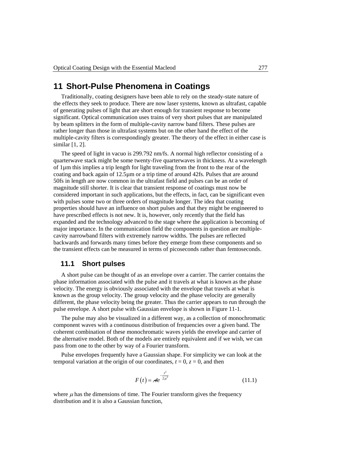# <span id="page-20-0"></span>**11 Short-Pulse Phenomena in Coatings**

Traditionally, coating designers have been able to rely on the steady-state nature of the effects they seek to produce. There are now laser systems, known as ultrafast, capable of generating pulses of light that are short enough for transient response to become significant. Optical communication uses trains of very short pulses that are manipulated by beam splitters in the form of multiple-cavity narrow band filters. These pulses are rather longer than those in ultrafast systems but on the other hand the effect of the multiple-cavity filters is correspondingly greater. The theory of the effect in either case is similar [\[1,](#page--1-130) [2\]](#page--1-80).

The speed of light in vacuo is 299.792 nm/fs. A normal high reflector consisting of a quarterwave stack might be some twenty-five quarterwaves in thickness. At a wavelength of 1µm this implies a trip length for light traveling from the front to the rear of the coating and back again of 12.5µm or a trip time of around 42fs. Pulses that are around 50fs in length are now common in the ultrafast field and pulses can be an order of magnitude still shorter. It is clear that transient response of coatings must now be considered important in such applications, but the effects, in fact, can be significant even with pulses some two or three orders of magnitude longer. The idea that coating properties should have an influence on short pulses and that they might be engineered to have prescribed effects is not new. It is, however, only recently that the field has expanded and the technology advanced to the stage where the application is becoming of major importance. In the communication field the components in question are multiplecavity narrowband filters with extremely narrow widths. The pulses are reflected backwards and forwards many times before they emerge from these components and so the transient effects can be measured in terms of picoseconds rather than femtoseconds.

#### **11.1 Short pulses**

<span id="page-20-1"></span>A short pulse can be thought of as an envelope over a carrier. The carrier contains the phase information associated with the pulse and it travels at what is known as the phase velocity. The energy is obviously associated with the envelope that travels at what is known as the group velocity. The group velocity and the phase velocity are generally different, the phase velocity being the greater. Thus the carrier appears to run through the pulse envelope. A short pulse with Gaussian envelope is shown in [Figure 11-1.](#page-21-1)

The pulse may also be visualized in a different way, as a collection of monochromatic component waves with a continuous distribution of frequencies over a given band. The coherent combination of these monochromatic waves yields the envelope and carrier of the alternative model. Both of the models are entirely equivalent and if we wish, we can pass from one to the other by way of a Fourier transform.

Pulse envelopes frequently have a Gaussian shape. For simplicity we can look at the temporal variation at the origin of our coordinates,  $t = 0$ ,  $z = 0$ , and then

$$
F(t) = Ae^{-\frac{t^2}{2\mu^2}}
$$
\n(11.1)

where  $\mu$  has the dimensions of time. The Fourier transform gives the frequency distribution and it is also a Gaussian function,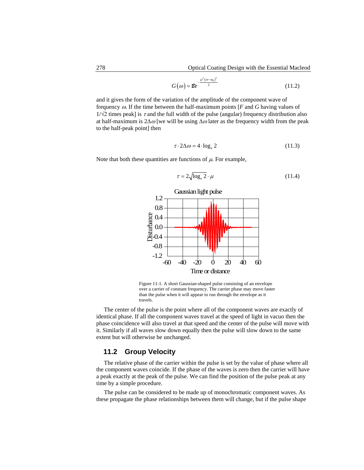$$
G(\omega) = \mathcal{E}e^{-\frac{\mu^2(\omega - \omega_0)^2}{2}}
$$
 (11.2)

and it gives the form of the variation of the amplitude of the component wave of frequency ω. If the time between the half-maximum points [*F* and *G* having values of  $1/\sqrt{2}$  times peak] is  $\tau$  and the full width of the pulse (angular) frequency distribution also at half-maximum is 2∆ω [we will be using  $\Delta \omega$  later as the frequency width from the peak to the half-peak point] then

$$
\tau \cdot 2\Delta \omega = 4 \cdot \log_e 2 \tag{11.3}
$$

Note that both these quantities are functions of  $\mu$ . For example,

$$
\tau = 2\sqrt{\log_e 2} \cdot \mu \tag{11.4}
$$



<span id="page-21-1"></span>Figure 11-1. A short Gaussian-shaped pulse consisting of an envelope over a carrier of constant frequency. The carrier phase may move faster than the pulse when it will appear to run through the envelope as it travels.

The center of the pulse is the point where all of the component waves are exactly of identical phase. If all the component waves travel at the speed of light in vacuo then the phase coincidence will also travel at that speed and the center of the pulse will move with it. Similarly if all waves slow down equally then the pulse will slow down to the same extent but will otherwise be unchanged.

#### <span id="page-21-0"></span>**11.2 Group Velocity**

The relative phase of the carrier within the pulse is set by the value of phase where all the component waves coincide. If the phase of the waves is zero then the carrier will have a peak exactly at the peak of the pulse. We can find the position of the pulse peak at any time by a simple procedure.

The pulse can be considered to be made up of monochromatic component waves. As these propagate the phase relationships between them will change, but if the pulse shape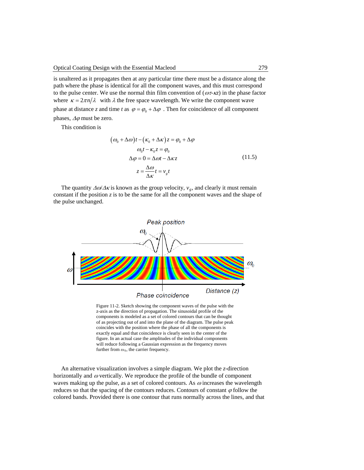is unaltered as it propagates then at any particular time there must be a distance along the path where the phase is identical for all the component waves, and this must correspond to the pulse center. We use the normal thin film convention of ( $\omega \tau$ - $\kappa z$ ) in the phase factor where  $\kappa = 2\pi n/\lambda$  with  $\lambda$  the free space wavelength. We write the component wave phase at distance *z* and time *t* as  $\varphi = \varphi_0 + \Delta \varphi$ . Then for coincidence of all component phases,  $\Delta\varphi$  must be zero.

This condition is

$$
(\omega_0 + \Delta \omega)t - (\kappa_0 + \Delta \kappa)z = \varphi_0 + \Delta \varphi
$$
  
\n
$$
\omega_0 t - \kappa_0 z = \varphi_0
$$
  
\n
$$
\Delta \varphi = 0 = \Delta \omega t - \Delta \kappa z
$$
  
\n
$$
z = \frac{\Delta \omega}{\Delta \kappa} t = v_g t
$$
\n(11.5)

The quantity  $\Delta \omega / \Delta \kappa$  is known as the group velocity,  $v_g$ , and clearly it must remain constant if the position  $\zeta$  is to be the same for all the component waves and the shape of the pulse unchanged.



Figure 11-2. Sketch showing the component waves of the pulse with the z-axis as the direction of propagation. The sinusoidal profile of the components is modeled as a set of colored contours that can be thought of as projecting out of and into the plane of the diagram. The pulse peak coincides with the position where the phase of all the components is exactly equal and that coincidence is clearly seen in the center of the figure. In an actual case the amplitudes of the individual components will reduce following a Gaussian expression as the frequency moves further from  $\omega_0$ , the carrier frequency.

An alternative visualization involves a simple diagram. We plot the *z*-direction horizontally and  $\omega$  vertically. We reproduce the profile of the bundle of component waves making up the pulse, as a set of colored contours. As  $\omega$  increases the wavelength reduces so that the spacing of the contours reduces. Contours of constant  $\varphi$  follow the colored bands. Provided there is one contour that runs normally across the lines, and that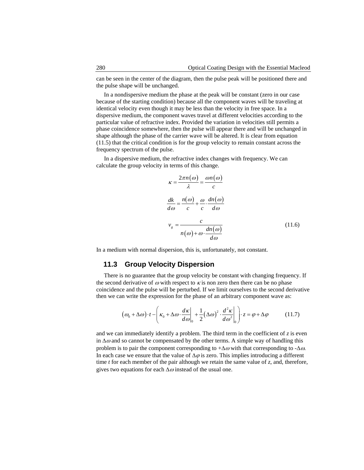can be seen in the center of the diagram, then the pulse peak will be positioned there and the pulse shape will be unchanged.

In a nondispersive medium the phase at the peak will be constant (zero in our case because of the starting condition) because all the component waves will be traveling at identical velocity even though it may be less than the velocity in free space. In a dispersive medium, the component waves travel at different velocities according to the particular value of refractive index. Provided the variation in velocities still permits a phase coincidence somewhere, then the pulse will appear there and will be unchanged in shape although the phase of the carrier wave will be altered. It is clear from equation (11.5) that the critical condition is for the group velocity to remain constant across the frequency spectrum of the pulse.

In a dispersive medium, the refractive index changes with frequency. We can calculate the group velocity in terms of this change.

$$
\kappa = \frac{2\pi n(\omega)}{\lambda} = \frac{\omega n(\omega)}{c}
$$

$$
\frac{dk}{d\omega} = \frac{n(\omega)}{c} + \frac{\omega}{c} \cdot \frac{dn(\omega)}{d\omega}
$$

$$
v_{g} = \frac{c}{n(\omega) + \omega \cdot \frac{dn(\omega)}{d\omega}}
$$
(11.6)

<span id="page-23-0"></span>In a medium with normal dispersion, this is, unfortunately, not constant.

#### **11.3 Group Velocity Dispersion**

There is no guarantee that the group velocity be constant with changing frequency. If the second derivative of  $\omega$  with respect to  $\kappa$  is non zero then there can be no phase coincidence and the pulse will be perturbed. If we limit ourselves to the second derivative then we can write the expression for the phase of an arbitrary component wave as:

$$
(\omega_0 + \Delta \omega) \cdot t - \left(\kappa_0 + \Delta \omega \cdot \frac{d\kappa}{d\omega}\bigg|_0 + \frac{1}{2} (\Delta \omega)^2 \cdot \frac{d^2 \kappa}{d\omega^2}\bigg|_0 \right) \cdot z = \varphi + \Delta \varphi \tag{11.7}
$$

and we can immediately identify a problem. The third term in the coefficient of *z* is even in  $\Delta\omega$  and so cannot be compensated by the other terms. A simple way of handling this problem is to pair the component corresponding to  $+\Delta\omega$  with that corresponding to  $-\Delta\omega$ . In each case we ensure that the value of  $\Delta \varphi$  is zero. This implies introducing a different time *t* for each member of the pair although we retain the same value of *z*, and, therefore, gives two equations for each  $\Delta\omega$  instead of the usual one.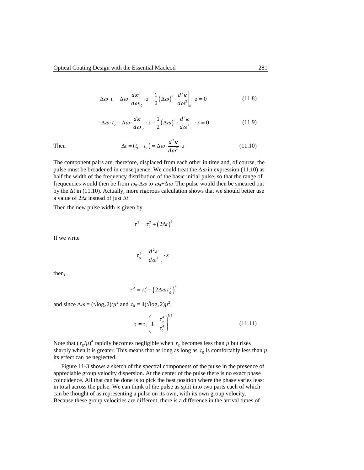$$
\Delta \omega \cdot t_1 - \Delta \omega \cdot \frac{d\kappa}{d\omega}\bigg|_0 \cdot z - \frac{1}{2} (\Delta \omega)^2 \cdot \frac{d^2 \kappa}{d\omega^2}\bigg|_0 \cdot z = 0 \tag{11.8}
$$

$$
-\Delta\omega \cdot t_2 + \Delta\omega \cdot \frac{d\kappa}{d\omega}\Big|_0 \cdot z - \frac{1}{2} (\Delta\omega)^2 \cdot \frac{d^2\kappa}{d\omega^2}\Big|_0 \cdot z = 0 \tag{11.9}
$$

Then 
$$
\Delta t = (t_1 - t_2) = \Delta \omega \cdot \frac{d^2 \kappa}{d \omega^2} \cdot z \qquad (11.10)
$$

The component pairs are, therefore, displaced from each other in time and, of course, the pulse must be broadened in consequence. We could treat the  $\Delta\omega$  in expression (11.10) as half the width of the frequency distribution of the basic initial pulse, so that the range of frequencies would then be from  $\omega_0$ - $\Delta\omega$  to  $\omega_0$ + $\Delta\omega$ . The pulse would then be smeared out by the ∆*t* in (11.10). Actually, more rigorous calculation shows that we should better use a value of 2∆*t* instead of just ∆*t*

Then the new pulse width is given by

$$
\tau^2 = \tau_0^2 + \left(2\Delta t\right)^2
$$

If we write

$$
\tau_g^2 = \frac{d^2\kappa}{d\omega^2}\bigg|_0 \cdot z
$$

then,

$$
\tau^2 = \tau_0^2 + \left(2\Delta\omega\tau_g^2\right)^2
$$

and since  $\Delta \omega = (\sqrt{\log_e 2})/\mu^2$  and  $\tau_0 = 4(\sqrt{\log_e 2})\mu^2$ ,

$$
\tau = \tau_0 \left( 1 + \frac{\tau_s^4}{\tau_0^4} \right)^{1/2} \tag{11.11}
$$

Note that  $(\tau_g/\mu)^4$  rapidly becomes negligible when  $\tau_g$  becomes less than  $\mu$  but rises sharply when it is greater. This means that as long as long as  $\tau_g$  is comfortably less than  $\mu$ its effect can be neglected.

[Figure 11-3](#page-25-0) shows a sketch of the spectral components of the pulse in the presence of appreciable group velocity dispersion. At the center of the pulse there is no exact phase coincidence. All that can be done is to pick the best position where the phase varies least in total across the pulse. We can think of the pulse as split into two parts each of which can be thought of as representing a pulse on its own, with its own group velocity. Because these group velocities are different, there is a difference in the arrival times of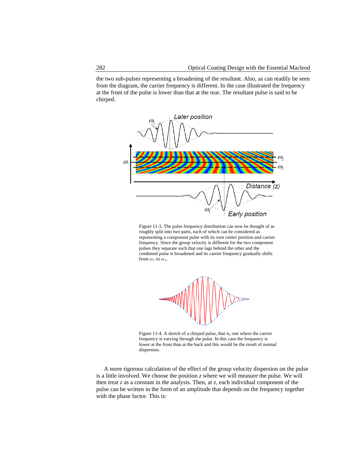the two sub-pulses representing a broadening of the resultant. Also, as can readily be seen from the diagram, the carrier frequency is different. In the case illustrated the frequency at the front of the pulse is lower than that at the rear. The resultant pulse is said to be chirped.



<span id="page-25-0"></span>Figure 11-3. The pulse frequency distribution can now be thought of as roughly split into two parts, each of which can be considered as representing a component pulse with its own center position and carrier frequency. Since the group velocity is different for the two component pulses they separate such that one lags behind the other and the combined pulse is broadened and its carrier frequency gradually shifts from  $\omega_1$  to  $\omega_2$ .



Figure 11-4. A sketch of a chirped pulse, that is, one where the carrier frequency is varying through the pulse. In this case the frequency is lower at the front than at the back and this would be the result of normal dispersion.

A more rigorous calculation of the effect of the group velocity dispersion on the pulse is a little involved. We choose the position *z* where we will measure the pulse. We will then treat *z* as a constant in the analysis. Then, at *z*, each individual component of the pulse can be written in the form of an amplitude that depends on the frequency together with the phase factor. This is: